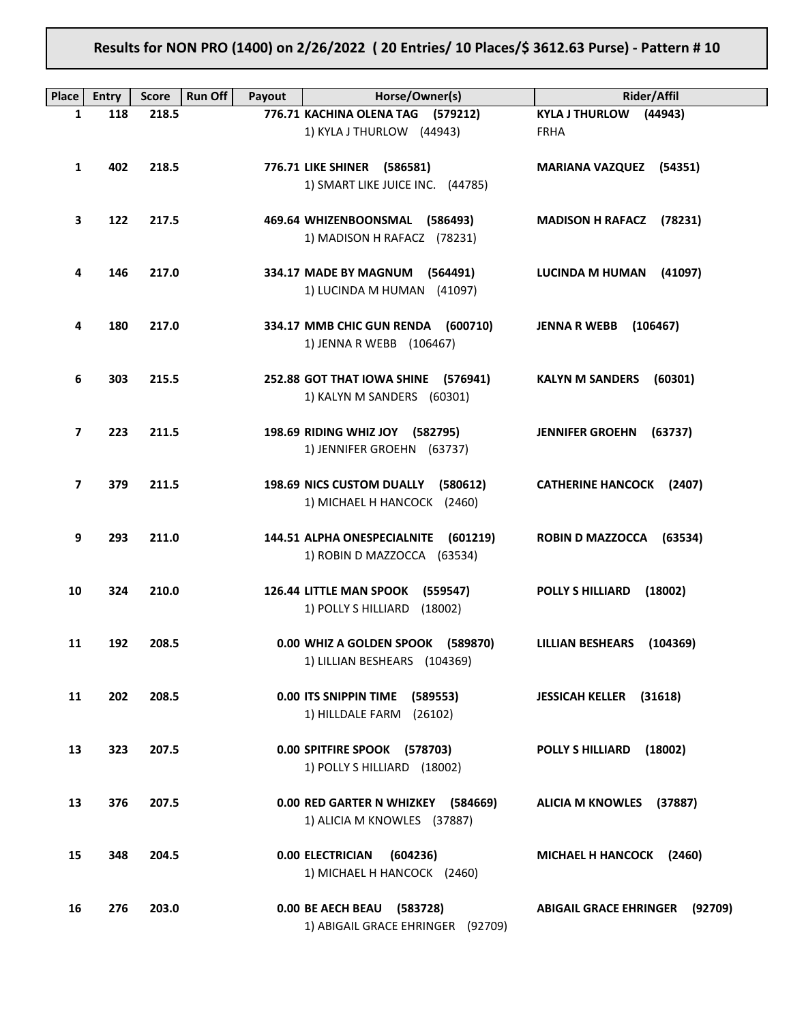# Results for NON PRO (1400) on 2/26/2022 ( 20 Entries/ 10 Places/\$ 3612.63 Purse) - Pattern # 10

| <b>Place</b>             | <b>Entry</b> | <b>Score</b> | <b>Run Off</b><br>Payout | Horse/Owner(s)                                                               | Rider/Affil                              |
|--------------------------|--------------|--------------|--------------------------|------------------------------------------------------------------------------|------------------------------------------|
| 1                        | 118          | 218.5        |                          | 776.71 KACHINA OLENA TAG (579212)                                            | KYLA J THURLOW (44943)                   |
|                          |              |              |                          | 1) KYLA J THURLOW (44943)                                                    | <b>FRHA</b>                              |
| 1                        | 402          | 218.5        |                          | 776.71 LIKE SHINER (586581)<br>1) SMART LIKE JUICE INC. (44785)              | <b>MARIANA VAZQUEZ (54351)</b>           |
| 3                        | 122          | 217.5        |                          | 469.64 WHIZENBOONSMAL (586493)<br>1) MADISON H RAFACZ (78231)                | <b>MADISON H RAFACZ</b><br>(78231)       |
| 4                        | 146          | 217.0        |                          | 334.17 MADE BY MAGNUM<br>(564491)<br>1) LUCINDA M HUMAN (41097)              | <b>LUCINDA M HUMAN</b><br>(41097)        |
| 4                        | 180          | 217.0        |                          | 334.17 MMB CHIC GUN RENDA (600710)<br>1) JENNA R WEBB (106467)               | <b>JENNA R WEBB</b><br>(106467)          |
| 6                        | 303          | 215.5        |                          | 252.88 GOT THAT IOWA SHINE (576941)<br>1) KALYN M SANDERS (60301)            | <b>KALYN M SANDERS</b><br>(60301)        |
| 7                        | 223          | 211.5        |                          | 198.69 RIDING WHIZ JOY (582795)<br>1) JENNIFER GROEHN (63737)                | <b>JENNIFER GROEHN</b><br>(63737)        |
| $\overline{\phantom{a}}$ | 379          | 211.5        |                          | 198.69 NICS CUSTOM DUALLY<br>(580612)<br>1) MICHAEL H HANCOCK (2460)         | <b>CATHERINE HANCOCK (2407)</b>          |
| 9                        | 293          | 211.0        |                          | 144.51 ALPHA ONESPECIALNITE<br>(601219)<br>1) ROBIN D MAZZOCCA (63534)       | ROBIN D MAZZOCCA (63534)                 |
| 10                       | 324          | 210.0        |                          | <b>126.44 LITTLE MAN SPOOK</b><br>(559547)<br>1) POLLY S HILLIARD<br>(18002) | <b>POLLY S HILLIARD</b><br>(18002)       |
| 11                       | 192          | 208.5        |                          | 0.00 WHIZ A GOLDEN SPOOK (589870)<br>1) LILLIAN BESHEARS (104369)            | (104369)<br>LILLIAN BESHEARS             |
| 11                       | 202          | 208.5        |                          | 0.00 ITS SNIPPIN TIME (589553)<br>1) HILLDALE FARM (26102)                   | <b>JESSICAH KELLER (31618)</b>           |
| 13                       | 323          | 207.5        |                          | 0.00 SPITFIRE SPOOK (578703)<br>1) POLLY S HILLIARD (18002)                  | <b>POLLY S HILLIARD</b><br>(18002)       |
| 13                       | 376          | 207.5        |                          | 0.00 RED GARTER N WHIZKEY (584669)<br>1) ALICIA M KNOWLES (37887)            | ALICIA M KNOWLES (37887)                 |
| 15                       | 348          | 204.5        |                          | 0.00 ELECTRICIAN<br>(604236)<br>1) MICHAEL H HANCOCK (2460)                  | MICHAEL H HANCOCK (2460)                 |
| 16                       | 276          | 203.0        |                          | 0.00 BE AECH BEAU (583728)<br>1) ABIGAIL GRACE EHRINGER (92709)              | <b>ABIGAIL GRACE EHRINGER</b><br>(92709) |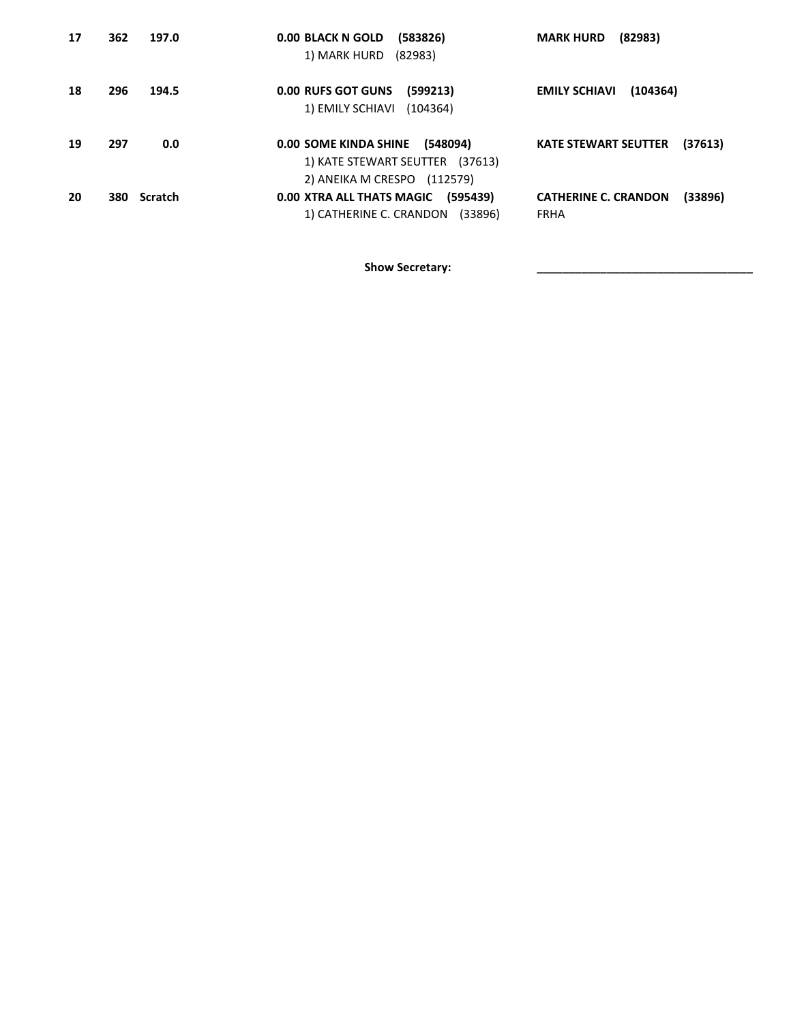| 17 | 362 | 197.0       | 0.00 BLACK N GOLD<br>(583826)<br>1) MARK HURD (82983)                                               | (82983)<br><b>MARK HURD</b>                           |
|----|-----|-------------|-----------------------------------------------------------------------------------------------------|-------------------------------------------------------|
| 18 | 296 | 194.5       | <b>0.00 RUFS GOT GUNS</b><br>(599213)<br>1) EMILY SCHIAVI<br>(104364)                               | <b>EMILY SCHIAVI</b><br>(104364)                      |
| 19 | 297 | 0.0         | 0.00 SOME KINDA SHINE<br>(548094)<br>1) KATE STEWART SEUTTER (37613)<br>2) ANEIKA M CRESPO (112579) | <b>KATE STEWART SEUTTER</b><br>(37613)                |
| 20 |     | 380 Scratch | 0.00 XTRA ALL THATS MAGIC<br>(595439)<br>1) CATHERINE C. CRANDON (33896)                            | (33896)<br><b>CATHERINE C. CRANDON</b><br><b>FRHA</b> |

Show Secretary: